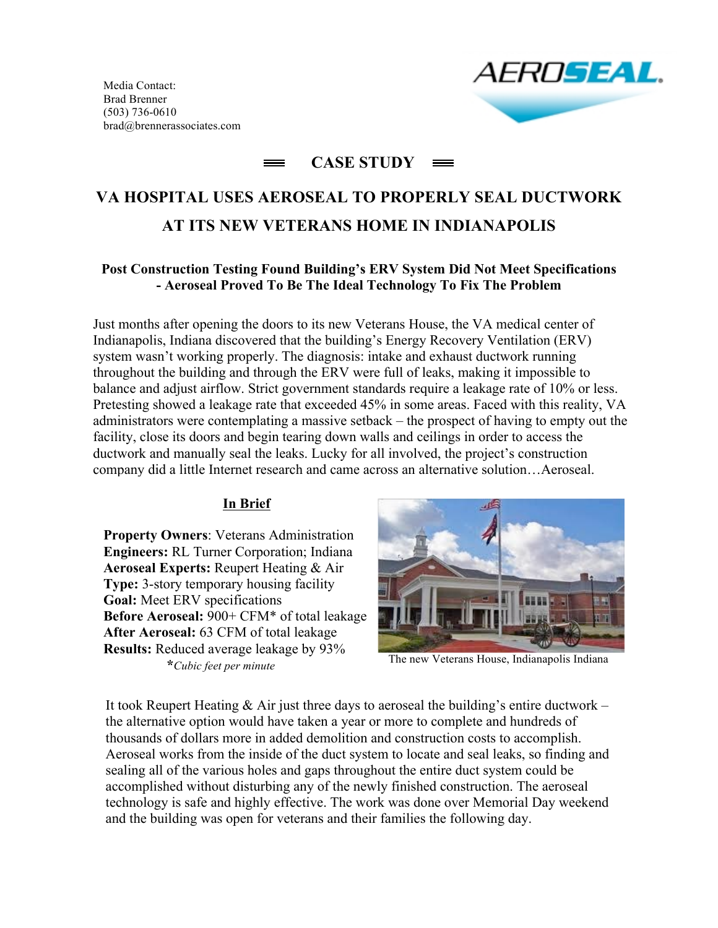Media Contact: Brad Brenner (503) 736-0610 brad@brennerassociates.com



# **CASE STUDY**

# **VA HOSPITAL USES AEROSEAL TO PROPERLY SEAL DUCTWORK AT ITS NEW VETERANS HOME IN INDIANAPOLIS**

#### **Post Construction Testing Found Building's ERV System Did Not Meet Specifications - Aeroseal Proved To Be The Ideal Technology To Fix The Problem**

Just months after opening the doors to its new Veterans House, the VA medical center of Indianapolis, Indiana discovered that the building's Energy Recovery Ventilation (ERV) system wasn't working properly. The diagnosis: intake and exhaust ductwork running throughout the building and through the ERV were full of leaks, making it impossible to balance and adjust airflow. Strict government standards require a leakage rate of 10% or less. Pretesting showed a leakage rate that exceeded 45% in some areas. Faced with this reality, VA administrators were contemplating a massive setback – the prospect of having to empty out the facility, close its doors and begin tearing down walls and ceilings in order to access the ductwork and manually seal the leaks. Lucky for all involved, the project's construction company did a little Internet research and came across an alternative solution…Aeroseal.

#### **In Brief**

**Property Owners**: Veterans Administration **Engineers:** RL Turner Corporation; Indiana **Aeroseal Experts:** Reupert Heating & Air **Type:** 3-story temporary housing facility **Goal:** Meet ERV specifications **Before Aeroseal:** 900+ CFM\* of total leakage **After Aeroseal:** 63 CFM of total leakage **Results:** Reduced average leakage by 93%  **\****Cubic feet per minute*



The new Veterans House, Indianapolis Indiana

It took Reupert Heating  $\&$  Air just three days to aeroseal the building's entire ductwork – the alternative option would have taken a year or more to complete and hundreds of thousands of dollars more in added demolition and construction costs to accomplish. Aeroseal works from the inside of the duct system to locate and seal leaks, so finding and sealing all of the various holes and gaps throughout the entire duct system could be accomplished without disturbing any of the newly finished construction. The aeroseal technology is safe and highly effective. The work was done over Memorial Day weekend and the building was open for veterans and their families the following day.